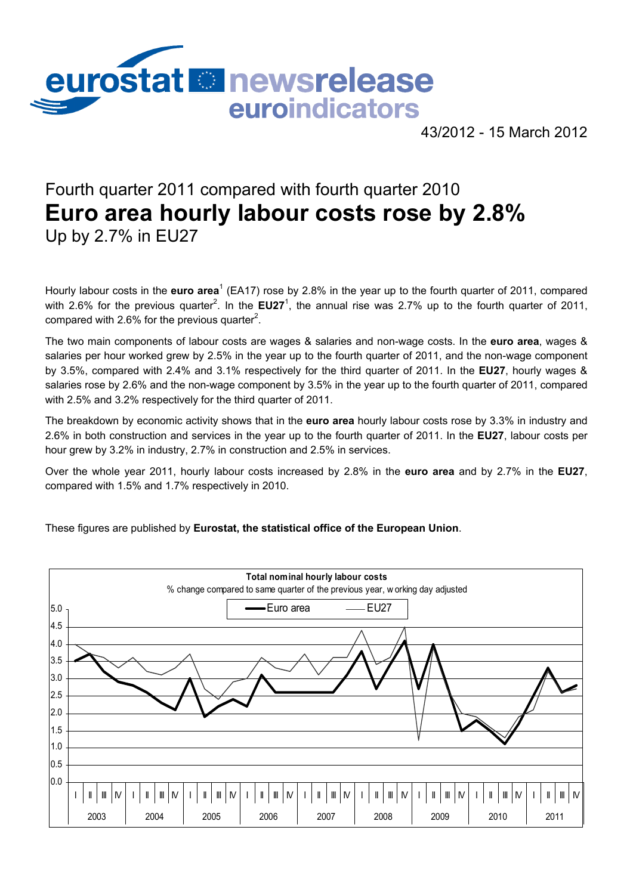

43/2012 - 15 March 2012

# Fourth quarter 2011 compared with fourth quarter 2010 **Euro area hourly labour costs rose by 2.8%**  Up by 2.7% in EU27

Hourly labour costs in the **euro area<sup>1</sup> (EA17)** rose by 2.8% in the year up to the fourth quarter of 2011, compared with 2.6% for the previous quarter<sup>2</sup>. In the  $EU27<sup>1</sup>$ , the annual rise was 2.7% up to the fourth quarter of 2011, compared with 2.6% for the previous quarter<sup>2</sup>.

The two main components of labour costs are wages & salaries and non-wage costs. In the **euro area**, wages & salaries per hour worked grew by 2.5% in the year up to the fourth quarter of 2011, and the non-wage component by 3.5%, compared with 2.4% and 3.1% respectively for the third quarter of 2011. In the **EU27**, hourly wages & salaries rose by 2.6% and the non-wage component by 3.5% in the year up to the fourth quarter of 2011, compared with 2.5% and 3.2% respectively for the third quarter of 2011.

The breakdown by economic activity shows that in the **euro area** hourly labour costs rose by 3.3% in industry and 2.6% in both construction and services in the year up to the fourth quarter of 2011. In the **EU27**, labour costs per hour grew by 3.2% in industry, 2.7% in construction and 2.5% in services.

Over the whole year 2011, hourly labour costs increased by 2.8% in the **euro area** and by 2.7% in the **EU27**, compared with 1.5% and 1.7% respectively in 2010.

These figures are published by **Eurostat, the statistical office of the European Union**.

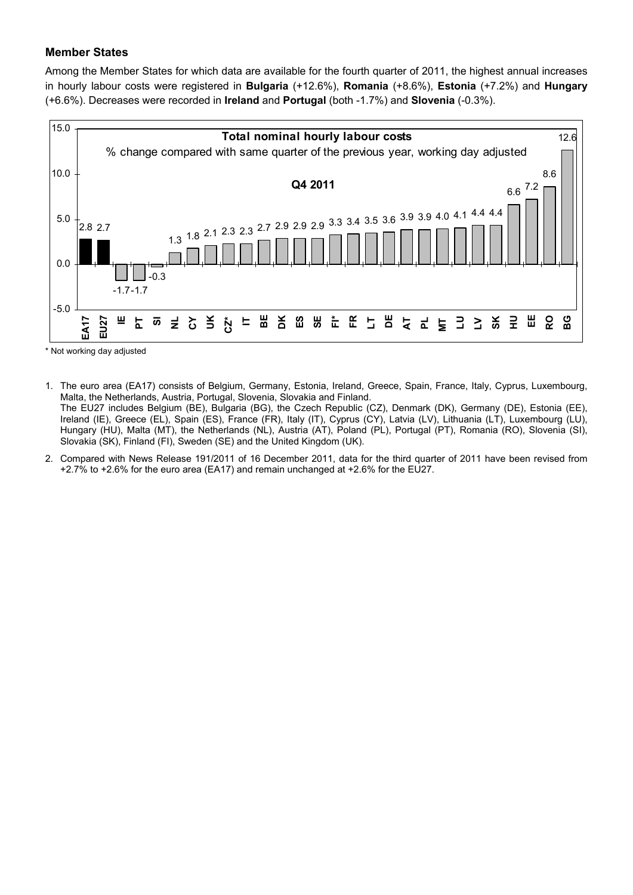## **Member States**

Among the Member States for which data are available for the fourth quarter of 2011, the highest annual increases in hourly labour costs were registered in **Bulgaria** (+12.6%), **Romania** (+8.6%), **Estonia** (+7.2%) and **Hungary** (+6.6%). Decreases were recorded in **Ireland** and **Portugal** (both -1.7%) and **Slovenia** (-0.3%).



\* Not working day adjusted

- 1. The euro area (EA17) consists of Belgium, Germany, Estonia, Ireland, Greece, Spain, France, Italy, Cyprus, Luxembourg, Malta, the Netherlands, Austria, Portugal, Slovenia, Slovakia and Finland. The EU27 includes Belgium (BE), Bulgaria (BG), the Czech Republic (CZ), Denmark (DK), Germany (DE), Estonia (EE), Ireland (IE), Greece (EL), Spain (ES), France (FR), Italy (IT), Cyprus (CY), Latvia (LV), Lithuania (LT), Luxembourg (LU), Hungary (HU), Malta (MT), the Netherlands (NL), Austria (AT), Poland (PL), Portugal (PT), Romania (RO), Slovenia (SI), Slovakia (SK), Finland (FI), Sweden (SE) and the United Kingdom (UK).
- 2. Compared with News Release 191/2011 of 16 December 2011, data for the third quarter of 2011 have been revised from +2.7% to +2.6% for the euro area (EA17) and remain unchanged at +2.6% for the EU27.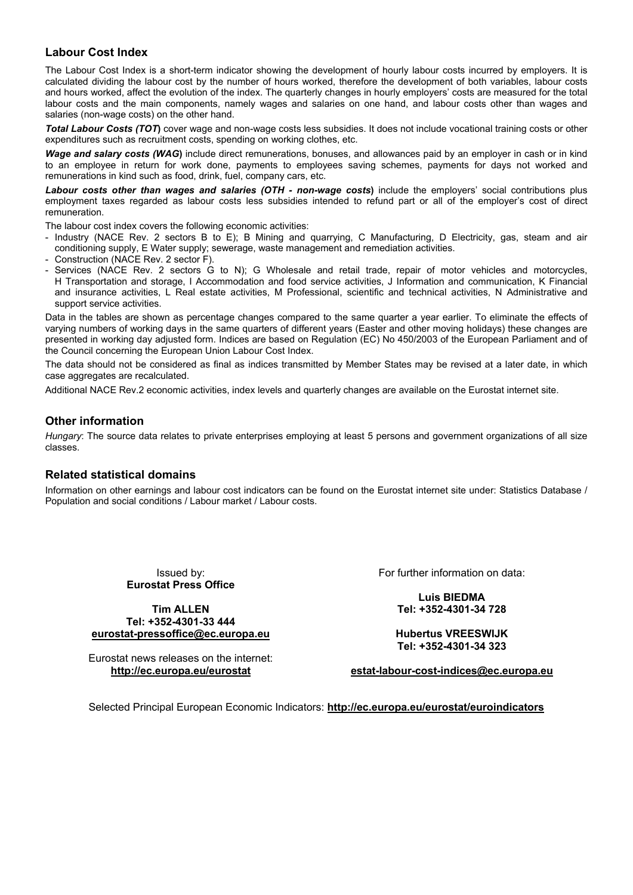## **Labour Cost Index**

The Labour Cost Index is a short-term indicator showing the development of hourly labour costs incurred by employers. It is calculated dividing the labour cost by the number of hours worked, therefore the development of both variables, labour costs and hours worked, affect the evolution of the index. The quarterly changes in hourly employers' costs are measured for the total labour costs and the main components, namely wages and salaries on one hand, and labour costs other than wages and salaries (non-wage costs) on the other hand.

*Total Labour Costs (TOT***)** cover wage and non-wage costs less subsidies. It does not include vocational training costs or other expenditures such as recruitment costs, spending on working clothes, etc.

*Wage and salary costs (WAG***)** include direct remunerations, bonuses, and allowances paid by an employer in cash or in kind to an employee in return for work done, payments to employees saving schemes, payments for days not worked and remunerations in kind such as food, drink, fuel, company cars, etc.

Labour costs other than wages and salaries (OTH - non-wage costs) include the employers' social contributions plus employment taxes regarded as labour costs less subsidies intended to refund part or all of the employer's cost of direct remuneration.

The labour cost index covers the following economic activities:

- Industry (NACE Rev. 2 sectors B to E); B Mining and quarrying, C Manufacturing, D Electricity, gas, steam and air conditioning supply, E Water supply; sewerage, waste management and remediation activities.
- Construction (NACE Rev. 2 sector F).
- Services (NACE Rev. 2 sectors G to N); G Wholesale and retail trade, repair of motor vehicles and motorcycles, H Transportation and storage, I Accommodation and food service activities, J Information and communication, K Financial and insurance activities, L Real estate activities, M Professional, scientific and technical activities, N Administrative and support service activities.

Data in the tables are shown as percentage changes compared to the same quarter a year earlier. To eliminate the effects of varying numbers of working days in the same quarters of different years (Easter and other moving holidays) these changes are presented in working day adjusted form. Indices are based on Regulation (EC) No 450/2003 of the European Parliament and of the Council concerning the European Union Labour Cost Index.

The data should not be considered as final as indices transmitted by Member States may be revised at a later date, in which case aggregates are recalculated.

Additional NACE Rev.2 economic activities, index levels and quarterly changes are available on the Eurostat internet site.

## **Other information**

*Hungary*: The source data relates to private enterprises employing at least 5 persons and government organizations of all size classes.

### **Related statistical domains**

Information on other earnings and labour cost indicators can be found on the Eurostat internet site under: Statistics Database / Population and social conditions / Labour market / Labour costs.

> Issued by: **Eurostat Press Office**

**Tim ALLEN Tel: +352-4301-33 444 [eurostat-pressoffice@ec.europa.eu](mailto:eurostat-pressoffice@ec.europa.eu)**

Eurostat news releases on the internet: **<http://ec.europa.eu/eurostat>**

For further information on data:

**Luis BIEDMA Tel: +352-4301-34 728** 

**Hubertus VREESWIJK Tel: +352-4301-34 323** 

**[estat-labour-cost-indices@ec.europa.eu](mailto:estat-labour-cost-indices@ec.europa.eu)**

Selected Principal European Economic Indicators: **<http://ec.europa.eu/eurostat/euroindicators>**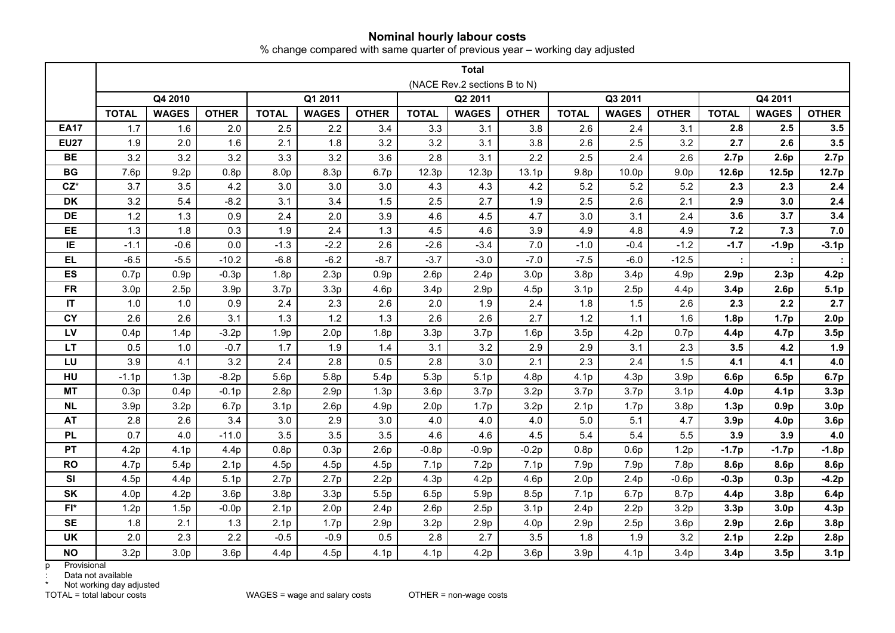### **Nominal hourly labour costs**

% change compared with same quarter of previous year – working day adjusted

|             |                              | <b>Total</b>     |                  |                  |                  |                  |                  |                  |                  |                  |                  |                  |                  |                  |                  |  |
|-------------|------------------------------|------------------|------------------|------------------|------------------|------------------|------------------|------------------|------------------|------------------|------------------|------------------|------------------|------------------|------------------|--|
|             | (NACE Rev.2 sections B to N) |                  |                  |                  |                  |                  |                  |                  |                  |                  |                  |                  |                  |                  |                  |  |
|             |                              | Q4 2010          |                  | Q1 2011          |                  |                  | Q2 2011          |                  |                  |                  | Q3 2011          |                  | Q4 2011          |                  |                  |  |
|             | <b>TOTAL</b>                 | <b>WAGES</b>     | <b>OTHER</b>     | <b>TOTAL</b>     | <b>WAGES</b>     | <b>OTHER</b>     | <b>TOTAL</b>     | <b>WAGES</b>     | <b>OTHER</b>     | <b>TOTAL</b>     | <b>WAGES</b>     | <b>OTHER</b>     | <b>TOTAL</b>     | <b>WAGES</b>     | <b>OTHER</b>     |  |
| <b>EA17</b> | 1.7                          | 1.6              | 2.0              | 2.5              | 2.2              | 3.4              | 3.3              | 3.1              | 3.8              | 2.6              | 2.4              | 3.1              | 2.8              | 2.5              | 3.5              |  |
| <b>EU27</b> | 1.9                          | 2.0              | 1.6              | 2.1              | 1.8              | 3.2              | 3.2              | 3.1              | 3.8              | 2.6              | 2.5              | 3.2              | 2.7              | 2.6              | 3.5              |  |
| <b>BE</b>   | 3.2                          | 3.2              | 3.2              | 3.3              | 3.2              | 3.6              | 2.8              | 3.1              | 2.2              | 2.5              | 2.4              | 2.6              | 2.7 <sub>p</sub> | 2.6p             | 2.7p             |  |
| <b>BG</b>   | 7.6p                         | 9.2p             | 0.8p             | 8.0 <sub>p</sub> | 8.3p             | 6.7p             | 12.3p            | 12.3p            | 13.1p            | 9.8 <sub>p</sub> | 10.0p            | 9.0 <sub>p</sub> | 12.6p            | 12.5p            | 12.7p            |  |
| $CZ^*$      | 3.7                          | 3.5              | 4.2              | 3.0              | 3.0              | 3.0              | 4.3              | 4.3              | 4.2              | 5.2              | 5.2              | 5.2              | 2.3              | 2.3              | 2.4              |  |
| DK          | 3.2                          | 5.4              | $-8.2$           | 3.1              | 3.4              | 1.5              | 2.5              | 2.7              | 1.9              | 2.5              | 2.6              | 2.1              | 2.9              | 3.0              | 2.4              |  |
| <b>DE</b>   | 1.2                          | 1.3              | 0.9              | 2.4              | 2.0              | 3.9              | 4.6              | 4.5              | 4.7              | 3.0              | 3.1              | 2.4              | 3.6              | 3.7              | 3.4              |  |
| <b>EE</b>   | 1.3                          | 1.8              | 0.3              | 1.9              | 2.4              | 1.3              | 4.5              | 4.6              | 3.9              | 4.9              | 4.8              | 4.9              | 7.2              | 7.3              | 7.0              |  |
| IE          | $-1.1$                       | $-0.6$           | 0.0              | $-1.3$           | $-2.2$           | 2.6              | $-2.6$           | $-3.4$           | 7.0              | $-1.0$           | $-0.4$           | $-1.2$           | $-1.7$           | $-1.9p$          | $-3.1p$          |  |
| <b>EL</b>   | $-6.5$                       | $-5.5$           | $-10.2$          | $-6.8$           | $-6.2$           | $-8.7$           | $-3.7$           | $-3.0$           | $-7.0$           | $-7.5$           | $-6.0$           | $-12.5$          |                  |                  |                  |  |
| <b>ES</b>   | 0.7p                         | 0.9p             | $-0.3p$          | 1.8p             | 2.3p             | 0.9p             | 2.6p             | 2.4p             | 3.0 <sub>p</sub> | 3.8 <sub>p</sub> | 3.4 <sub>p</sub> | 4.9p             | 2.9 <sub>p</sub> | 2.3p             | 4.2p             |  |
| <b>FR</b>   | 3.0 <sub>p</sub>             | 2.5p             | 3.9 <sub>p</sub> | 3.7 <sub>p</sub> | 3.3p             | 4.6p             | 3.4p             | 2.9 <sub>p</sub> | 4.5p             | 3.1 <sub>p</sub> | 2.5p             | 4.4p             | 3.4 <sub>p</sub> | 2.6p             | 5.1p             |  |
| IT          | 1.0                          | 1.0              | 0.9              | 2.4              | 2.3              | 2.6              | 2.0              | 1.9              | 2.4              | 1.8              | 1.5              | 2.6              | 2.3              | 2.2              | 2.7              |  |
| CY          | 2.6                          | 2.6              | 3.1              | 1.3              | 1.2              | 1.3              | 2.6              | 2.6              | 2.7              | 1.2              | 1.1              | 1.6              | 1.8p             | 1.7p             | 2.0 <sub>p</sub> |  |
| LV          | 0.4p                         | 1.4 <sub>p</sub> | $-3.2p$          | 1.9p             | 2.0 <sub>p</sub> | 1.8p             | 3.3p             | 3.7 <sub>p</sub> | 1.6p             | 3.5p             | 4.2p             | 0.7p             | 4.4p             | 4.7p             | 3.5p             |  |
| LT          | 0.5                          | 1.0              | $-0.7$           | 1.7              | 1.9              | 1.4              | 3.1              | 3.2              | 2.9              | 2.9              | 3.1              | 2.3              | 3.5              | 4.2              | 1.9              |  |
| LU          | 3.9                          | 4.1              | 3.2              | 2.4              | 2.8              | 0.5              | 2.8              | 3.0              | 2.1              | 2.3              | 2.4              | 1.5              | 4.1              | 4.1              | $4.0$            |  |
| HU          | $-1.1p$                      | 1.3p             | $-8.2p$          | 5.6p             | 5.8 <sub>p</sub> | 5.4 <sub>p</sub> | 5.3p             | 5.1 <sub>p</sub> | 4.8 <sub>p</sub> | 4.1 <sub>p</sub> | 4.3p             | 3.9 <sub>p</sub> | 6.6p             | 6.5p             | 6.7p             |  |
| <b>MT</b>   | 0.3p                         | 0.4p             | $-0.1p$          | 2.8p             | 2.9 <sub>p</sub> | 1.3p             | 3.6p             | 3.7 <sub>p</sub> | 3.2p             | 3.7 <sub>p</sub> | 3.7 <sub>p</sub> | 3.1 <sub>p</sub> | 4.0 <sub>p</sub> | 4.1 <sub>p</sub> | 3.3 <sub>p</sub> |  |
| <b>NL</b>   | 3.9 <sub>p</sub>             | 3.2 <sub>p</sub> | 6.7p             | 3.1 <sub>p</sub> | 2.6p             | 4.9p             | 2.0 <sub>p</sub> | 1.7p             | 3.2p             | 2.1 <sub>p</sub> | 1.7p             | 3.8 <sub>p</sub> | 1.3p             | 0.9 <sub>p</sub> | 3.0 <sub>p</sub> |  |
| <b>AT</b>   | 2.8                          | 2.6              | 3.4              | 3.0              | 2.9              | 3.0              | 4.0              | 4.0              | 4.0              | 5.0              | 5.1              | 4.7              | 3.9 <sub>p</sub> | 4.0 <sub>p</sub> | 3.6p             |  |
| <b>PL</b>   | 0.7                          | 4.0              | $-11.0$          | 3.5              | 3.5              | 3.5              | 4.6              | 4.6              | 4.5              | 5.4              | 5.4              | 5.5              | 3.9              | 3.9              | 4.0              |  |
| <b>PT</b>   | 4.2p                         | 4.1 <sub>p</sub> | 4.4p             | 0.8p             | 0.3p             | 2.6p             | $-0.8p$          | $-0.9p$          | $-0.2p$          | 0.8p             | 0.6p             | 1.2p             | $-1.7p$          | $-1.7p$          | $-1.8p$          |  |
| <b>RO</b>   | 4.7 <sub>p</sub>             | 5.4 <sub>p</sub> | 2.1 <sub>p</sub> | 4.5p             | 4.5p             | 4.5p             | 7.1p             | 7.2p             | 7.1 <sub>p</sub> | 7.9p             | 7.9 <sub>p</sub> | 7.8p             | 8.6p             | 8.6p             | 8.6p             |  |
| SI          | 4.5p                         | 4.4p             | 5.1p             | 2.7p             | 2.7p             | 2.2p             | 4.3p             | 4.2p             | 4.6p             | 2.0 <sub>p</sub> | 2.4p             | $-0.6p$          | $-0.3p$          | 0.3p             | $-4.2p$          |  |
| SK          | 4.0 <sub>p</sub>             | 4.2p             | 3.6p             | 3.8 <sub>p</sub> | 3.3p             | 5.5p             | 6.5p             | 5.9p             | 8.5p             | 7.1p             | 6.7 <sub>p</sub> | 8.7p             | 4.4p             | 3.8 <sub>p</sub> | 6.4p             |  |
| $FI^*$      | 1.2p                         | 1.5p             | $-0.0p$          | 2.1 <sub>p</sub> | 2.0 <sub>p</sub> | 2.4 <sub>p</sub> | 2.6 <sub>p</sub> | 2.5p             | 3.1 <sub>p</sub> | 2.4 <sub>p</sub> | 2.2 <sub>p</sub> | 3.2 <sub>p</sub> | 3.3 <sub>p</sub> | 3.0 <sub>p</sub> | 4.3 <sub>p</sub> |  |
| <b>SE</b>   | 1.8                          | 2.1              | 1.3              | 2.1 <sub>p</sub> | 1.7p             | 2.9 <sub>p</sub> | 3.2 <sub>p</sub> | 2.9 <sub>p</sub> | 4.0 <sub>p</sub> | 2.9 <sub>p</sub> | 2.5p             | 3.6p             | 2.9 <sub>p</sub> | 2.6p             | 3.8 <sub>p</sub> |  |
| <b>UK</b>   | 2.0                          | 2.3              | 2.2              | $-0.5$           | $-0.9$           | 0.5              | 2.8              | 2.7              | 3.5              | 1.8              | 1.9              | 3.2              | 2.1 <sub>p</sub> | 2.2p             | 2.8p             |  |
| <b>NO</b>   | 3.2p                         | 3.0 <sub>p</sub> | 3.6p             | 4.4p             | 4.5p             | 4.1 <sub>p</sub> | 4.1 <sub>p</sub> | 4.2p             | 3.6p             | 3.9 <sub>p</sub> | 4.1 <sub>p</sub> | 3.4 <sub>p</sub> | 3.4 <sub>p</sub> | 3.5p             | 3.1 <sub>p</sub> |  |

p Provisional

: Data not available

\* Data het available<br>\* Not working day adjusted<br>TOTAL = total labour costs